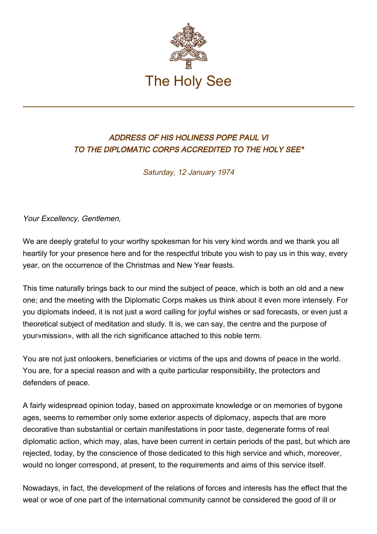

## ADDRESS OF HIS HOLINESS POPE PAUL VI TO THE DIPLOMATIC CORPS ACCREDITED TO THE HOLY SEE\*

Saturday, 12 January 1974

Your Excellency, Gentlemen,

We are deeply grateful to your worthy spokesman for his very kind words and we thank you all heartily for your presence here and for the respectful tribute you wish to pay us in this way, every year, on the occurrence of the Christmas and New Year feasts.

This time naturally brings back to our mind the subject of peace, which is both an old and a new one; and the meeting with the Diplomatic Corps makes us think about it even more intensely. For you diplomats indeed, it is not just a word calling for joyful wishes or sad forecasts, or even just a theoretical subject of meditation and study. It is, we can say, the centre and the purpose of your»mission», with all the rich significance attached to this noble term.

You are not just onlookers, beneficiaries or victims of the ups and downs of peace in the world. You are, for a special reason and with a quite particular responsibility, the protectors and defenders of peace.

A fairly widespread opinion today, based on approximate knowledge or on memories of bygone ages, seems to remember only some exterior aspects of diplomacy, aspects that are more decorative than substantial or certain manifestations in poor taste, degenerate forms of real diplomatic action, which may, alas, have been current in certain periods of the past, but which are rejected, today, by the conscience of those dedicated to this high service and which, moreover, would no longer correspond, at present, to the requirements and aims of this service itself.

Nowadays, in fact, the development of the relations of forces and interests has the effect that the weal or woe of one part of the international community cannot be considered the good of ill or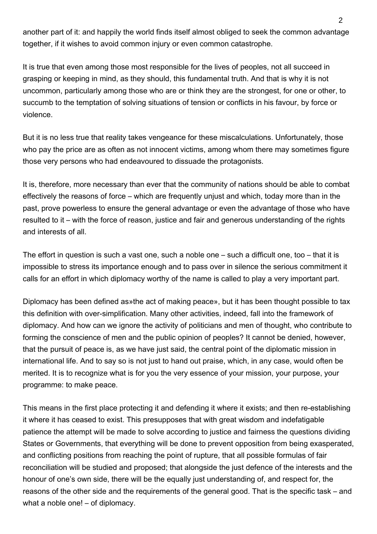another part of it: and happily the world finds itself almost obliged to seek the common advantage together, if it wishes to avoid common injury or even common catastrophe.

It is true that even among those most responsible for the lives of peoples, not all succeed in grasping or keeping in mind, as they should, this fundamental truth. And that is why it is not uncommon, particularly among those who are or think they are the strongest, for one or other, to succumb to the temptation of solving situations of tension or conflicts in his favour, by force or violence.

But it is no less true that reality takes vengeance for these miscalculations. Unfortunately, those who pay the price are as often as not innocent victims, among whom there may sometimes figure those very persons who had endeavoured to dissuade the protagonists.

It is, therefore, more necessary than ever that the community of nations should be able to combat effectively the reasons of force – which are frequently unjust and which, today more than in the past, prove powerless to ensure the general advantage or even the advantage of those who have resulted to it – with the force of reason, justice and fair and generous understanding of the rights and interests of all.

The effort in question is such a vast one, such a noble one – such a difficult one, too – that it is impossible to stress its importance enough and to pass over in silence the serious commitment it calls for an effort in which diplomacy worthy of the name is called to play a very important part.

Diplomacy has been defined as»the act of making peace», but it has been thought possible to tax this definition with over-simplification. Many other activities, indeed, fall into the framework of diplomacy. And how can we ignore the activity of politicians and men of thought, who contribute to forming the conscience of men and the public opinion of peoples? It cannot be denied, however, that the pursuit of peace is, as we have just said, the central point of the diplomatic mission in international life. And to say so is not just to hand out praise, which, in any case, would often be merited. It is to recognize what is for you the very essence of your mission, your purpose, your programme: to make peace.

This means in the first place protecting it and defending it where it exists; and then re-establishing it where it has ceased to exist. This presupposes that with great wisdom and indefatigable patience the attempt will be made to solve according to justice and fairness the questions dividing States or Governments, that everything will be done to prevent opposition from being exasperated, and conflicting positions from reaching the point of rupture, that all possible formulas of fair reconciliation will be studied and proposed; that alongside the just defence of the interests and the honour of one's own side, there will be the equally just understanding of, and respect for, the reasons of the other side and the requirements of the general good. That is the specific task – and what a noble one! – of diplomacy.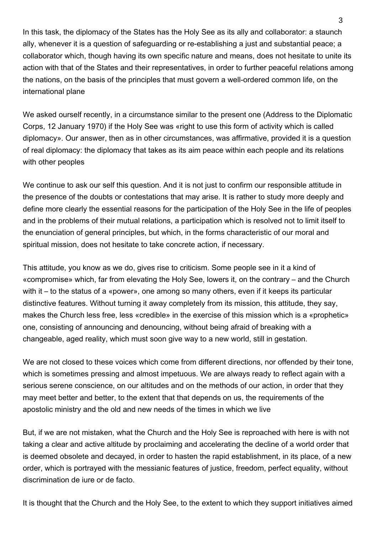In this task, the diplomacy of the States has the Holy See as its ally and collaborator: a staunch ally, whenever it is a question of safeguarding or re-establishing a just and substantial peace; a collaborator which, though having its own specific nature and means, does not hesitate to unite its action with that of the States and their representatives, in order to further peaceful relations among the nations, on the basis of the principles that must govern a well-ordered common life, on the international plane

We asked ourself recently, in a circumstance similar to the present one (Address to the Diplomatic Corps, 12 January 1970) if the Holy See was «right to use this form of activity which is called diplomacy». Our answer, then as in other circumstances, was affirmative, provided it is a question of real diplomacy: the diplomacy that takes as its aim peace within each people and its relations with other peoples

We continue to ask our self this question. And it is not just to confirm our responsible attitude in the presence of the doubts or contestations that may arise. It is rather to study more deeply and define more clearly the essential reasons for the participation of the Holy See in the life of peoples and in the problems of their mutual relations, a participation which is resolved not to limit itself to the enunciation of general principles, but which, in the forms characteristic of our moral and spiritual mission, does not hesitate to take concrete action, if necessary.

This attitude, you know as we do, gives rise to criticism. Some people see in it a kind of «compromise» which, far from elevating the Holy See, lowers it, on the contrary – and the Church with it – to the status of a «power», one among so many others, even if it keeps its particular distinctive features. Without turning it away completely from its mission, this attitude, they say, makes the Church less free, less «credible» in the exercise of this mission which is a «prophetic» one, consisting of announcing and denouncing, without being afraid of breaking with a changeable, aged reality, which must soon give way to a new world, still in gestation.

We are not closed to these voices which come from different directions, nor offended by their tone, which is sometimes pressing and almost impetuous. We are always ready to reflect again with a serious serene conscience, on our altitudes and on the methods of our action, in order that they may meet better and better, to the extent that that depends on us, the requirements of the apostolic ministry and the old and new needs of the times in which we live

But, if we are not mistaken, what the Church and the Holy See is reproached with here is with not taking a clear and active altitude by proclaiming and accelerating the decline of a world order that is deemed obsolete and decayed, in order to hasten the rapid establishment, in its place, of a new order, which is portrayed with the messianic features of justice, freedom, perfect equality, without discrimination de iure or de facto.

It is thought that the Church and the Holy See, to the extent to which they support initiatives aimed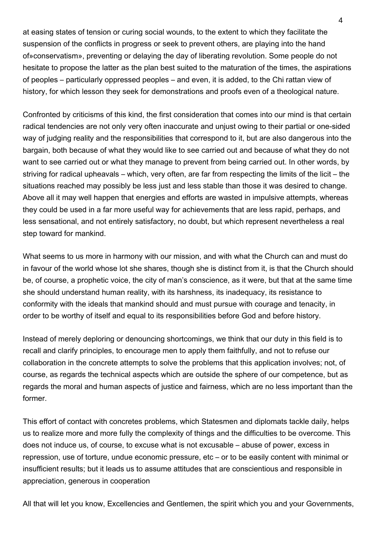at easing states of tension or curing social wounds, to the extent to which they facilitate the suspension of the conflicts in progress or seek to prevent others, are playing into the hand of»conservatism», preventing or delaying the day of liberating revolution. Some people do not hesitate to propose the latter as the plan best suited to the maturation of the times, the aspirations of peoples – particularly oppressed peoples – and even, it is added, to the Chi rattan view of history, for which lesson they seek for demonstrations and proofs even of a theological nature.

Confronted by criticisms of this kind, the first consideration that comes into our mind is that certain radical tendencies are not only very often inaccurate and unjust owing to their partial or one-sided way of judging reality and the responsibilities that correspond to it, but are also dangerous into the bargain, both because of what they would like to see carried out and because of what they do not want to see carried out or what they manage to prevent from being carried out. In other words, by striving for radical upheavals – which, very often, are far from respecting the limits of the licit – the situations reached may possibly be less just and less stable than those it was desired to change. Above all it may well happen that energies and efforts are wasted in impulsive attempts, whereas they could be used in a far more useful way for achievements that are less rapid, perhaps, and less sensational, and not entirely satisfactory, no doubt, but which represent nevertheless a real step toward for mankind.

What seems to us more in harmony with our mission, and with what the Church can and must do in favour of the world whose lot she shares, though she is distinct from it, is that the Church should be, of course, a prophetic voice, the city of man's conscience, as it were, but that at the same time she should understand human reality, with its harshness, its inadequacy, its resistance to conformity with the ideals that mankind should and must pursue with courage and tenacity, in order to be worthy of itself and equal to its responsibilities before God and before history.

Instead of merely deploring or denouncing shortcomings, we think that our duty in this field is to recall and clarify principles, to encourage men to apply them faithfully, and not to refuse our collaboration in the concrete attempts to solve the problems that this application involves; not, of course, as regards the technical aspects which are outside the sphere of our competence, but as regards the moral and human aspects of justice and fairness, which are no less important than the former.

This effort of contact with concretes problems, which Statesmen and diplomats tackle daily, helps us to realize more and more fully the complexity of things and the difficulties to be overcome. This does not induce us, of course, to excuse what is not excusable – abuse of power, excess in repression, use of torture, undue economic pressure, etc – or to be easily content with minimal or insufficient results; but it leads us to assume attitudes that are conscientious and responsible in appreciation, generous in cooperation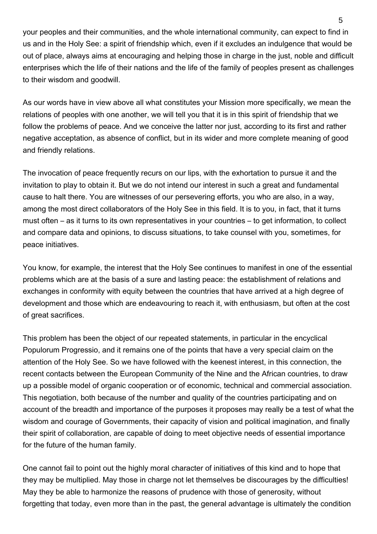your peoples and their communities, and the whole international community, can expect to find in us and in the Holy See: a spirit of friendship which, even if it excludes an indulgence that would be out of place, always aims at encouraging and helping those in charge in the just, noble and difficult enterprises which the life of their nations and the life of the family of peoples present as challenges to their wisdom and goodwill.

As our words have in view above all what constitutes your Mission more specifically, we mean the relations of peoples with one another, we will tell you that it is in this spirit of friendship that we follow the problems of peace. And we conceive the latter nor just, according to its first and rather negative acceptation, as absence of conflict, but in its wider and more complete meaning of good and friendly relations.

The invocation of peace frequently recurs on our lips, with the exhortation to pursue it and the invitation to play to obtain it. But we do not intend our interest in such a great and fundamental cause to halt there. You are witnesses of our persevering efforts, you who are also, in a way, among the most direct collaborators of the Holy See in this field. It is to you, in fact, that it turns must often – as it turns to its own representatives in your countries – to get information, to collect and compare data and opinions, to discuss situations, to take counsel with you, sometimes, for peace initiatives.

You know, for example, the interest that the Holy See continues to manifest in one of the essential problems which are at the basis of a sure and lasting peace: the establishment of relations and exchanges in conformity with equity between the countries that have arrived at a high degree of development and those which are endeavouring to reach it, with enthusiasm, but often at the cost of great sacrifices.

This problem has been the object of our repeated statements, in particular in the encyclical Populorum Progressio, and it remains one of the points that have a very special claim on the attention of the Holy See. So we have followed with the keenest interest, in this connection, the recent contacts between the European Community of the Nine and the African countries, to draw up a possible model of organic cooperation or of economic, technical and commercial association. This negotiation, both because of the number and quality of the countries participating and on account of the breadth and importance of the purposes it proposes may really be a test of what the wisdom and courage of Governments, their capacity of vision and political imagination, and finally their spirit of collaboration, are capable of doing to meet objective needs of essential importance for the future of the human family.

One cannot fail to point out the highly moral character of initiatives of this kind and to hope that they may be multiplied. May those in charge not let themselves be discourages by the difficulties! May they be able to harmonize the reasons of prudence with those of generosity, without forgetting that today, even more than in the past, the general advantage is ultimately the condition